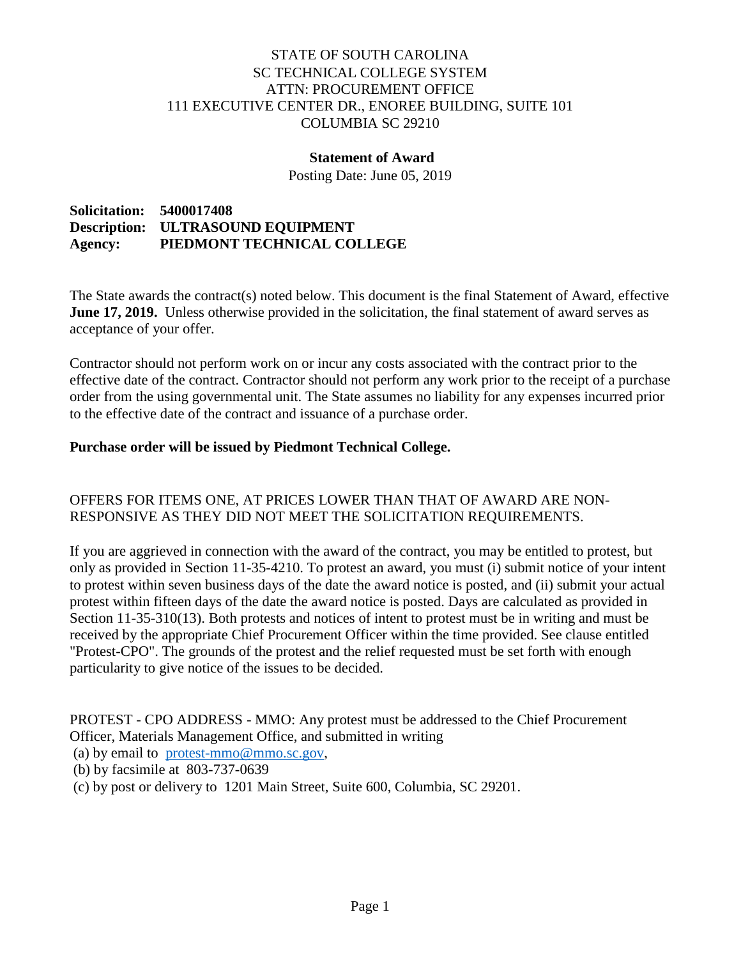# STATE OF SOUTH CAROLINA SC TECHNICAL COLLEGE SYSTEM ATTN: PROCUREMENT OFFICE 111 EXECUTIVE CENTER DR., ENOREE BUILDING, SUITE 101 COLUMBIA SC 29210

### **Statement of Award**

Posting Date: June 05, 2019

**Solicitation: 5400017408 Description: ULTRASOUND EQUIPMENT Agency: PIEDMONT TECHNICAL COLLEGE** 

The State awards the contract(s) noted below. This document is the final Statement of Award, effective **June 17, 2019.** Unless otherwise provided in the solicitation, the final statement of award serves as acceptance of your offer.

Contractor should not perform work on or incur any costs associated with the contract prior to the effective date of the contract. Contractor should not perform any work prior to the receipt of a purchase order from the using governmental unit. The State assumes no liability for any expenses incurred prior to the effective date of the contract and issuance of a purchase order.

#### **Purchase order will be issued by Piedmont Technical College.**

# OFFERS FOR ITEMS ONE, AT PRICES LOWER THAN THAT OF AWARD ARE NON-RESPONSIVE AS THEY DID NOT MEET THE SOLICITATION REQUIREMENTS.

If you are aggrieved in connection with the award of the contract, you may be entitled to protest, but only as provided in Section 11-35-4210. To protest an award, you must (i) submit notice of your intent to protest within seven business days of the date the award notice is posted, and (ii) submit your actual protest within fifteen days of the date the award notice is posted. Days are calculated as provided in Section 11-35-310(13). Both protests and notices of intent to protest must be in writing and must be received by the appropriate Chief Procurement Officer within the time provided. See clause entitled "Protest-CPO". The grounds of the protest and the relief requested must be set forth with enough particularity to give notice of the issues to be decided.

PROTEST - CPO ADDRESS - MMO: Any protest must be addressed to the Chief Procurement Officer, Materials Management Office, and submitted in writing

(a) by email to [protest-mmo@mmo.sc.gov,](mailto:protest-mmo@mmo.sc.gov)

- (b) by facsimile at 803-737-0639
- (c) by post or delivery to 1201 Main Street, Suite 600, Columbia, SC 29201.